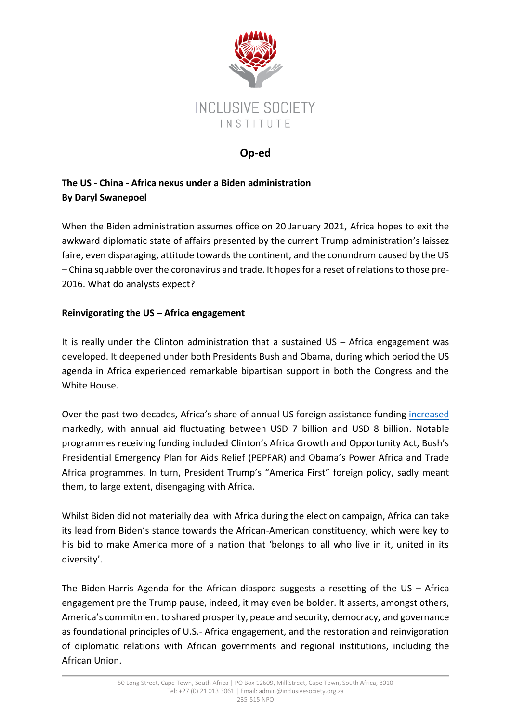

## **Op-ed**

# **The US - China - Africa nexus under a Biden administration By Daryl Swanepoel**

When the Biden administration assumes office on 20 January 2021, Africa hopes to exit the awkward diplomatic state of affairs presented by the current Trump administration's laissez faire, even disparaging, attitude towards the continent, and the conundrum caused by the US – China squabble over the coronavirus and trade. It hopes for a reset of relations to those pre-2016. What do analysts expect?

### **Reinvigorating the US – Africa engagement**

It is really under the Clinton administration that a sustained US – Africa engagement was developed. It deepened under both Presidents Bush and Obama, during which period the US agenda in Africa experienced remarkable bipartisan support in both the Congress and the White House.

Over the past two decades, Africa's share of annual US foreign assistance funding [increased](https://fas.org/sgp/crs/row/R46368.pdf) markedly, with annual aid fluctuating between USD 7 billion and USD 8 billion. Notable programmes receiving funding included Clinton's Africa Growth and Opportunity Act, Bush's Presidential Emergency Plan for Aids Relief (PEPFAR) and Obama's Power Africa and Trade Africa programmes. In turn, President Trump's "America First" foreign policy, sadly meant them, to large extent, disengaging with Africa.

Whilst Biden did not materially deal with Africa during the election campaign, Africa can take its lead from Biden's stance towards the African-American constituency, which were key to his bid to make America more of a nation that 'belongs to all who live in it, united in its diversity'.

The Biden-Harris Agenda for the African diaspora suggests a resetting of the US – Africa engagement pre the Trump pause, indeed, it may even be bolder. It asserts, amongst others, America's commitment to shared prosperity, peace and security, democracy, and governance as foundational principles of U.S.- Africa engagement, and the restoration and reinvigoration of diplomatic relations with African governments and regional institutions, including the African Union.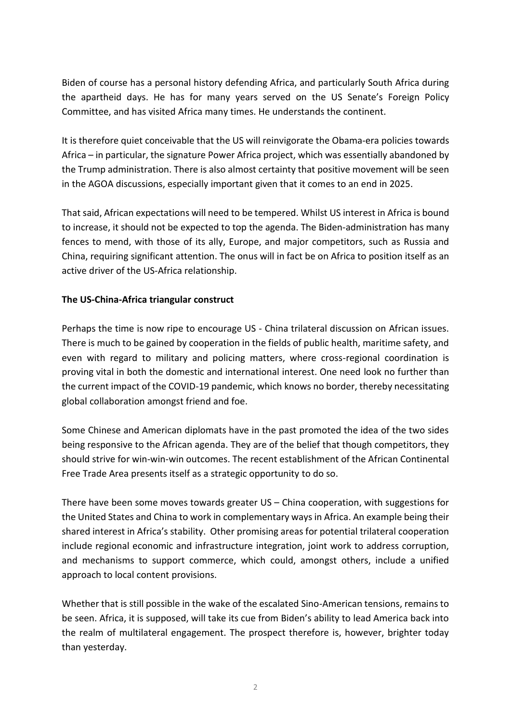Biden of course has a personal history defending Africa, and particularly South Africa during the apartheid days. He has for many years served on the US Senate's Foreign Policy Committee, and has visited Africa many times. He understands the continent.

It is therefore quiet conceivable that the US will reinvigorate the Obama-era policies towards Africa – in particular, the signature Power Africa project, which was essentially abandoned by the Trump administration. There is also almost certainty that positive movement will be seen in the AGOA discussions, especially important given that it comes to an end in 2025.

That said, African expectations will need to be tempered. Whilst US interest in Africa is bound to increase, it should not be expected to top the agenda. The Biden-administration has many fences to mend, with those of its ally, Europe, and major competitors, such as Russia and China, requiring significant attention. The onus will in fact be on Africa to position itself as an active driver of the US-Africa relationship.

#### **The US-China-Africa triangular construct**

Perhaps the time is now ripe to encourage US - China trilateral discussion on African issues. There is much to be gained by cooperation in the fields of public health, maritime safety, and even with regard to military and policing matters, where cross-regional coordination is proving vital in both the domestic and international interest. One need look no further than the current impact of the COVID-19 pandemic, which knows no border, thereby necessitating global collaboration amongst friend and foe.

Some Chinese and American diplomats have in the past promoted the idea of the two sides being responsive to the African agenda. They are of the belief that though competitors, they should strive for win-win-win outcomes. The recent establishment of the African Continental Free Trade Area presents itself as a strategic opportunity to do so.

There have been some moves towards greater US – China cooperation, with suggestions for the United States and China to work in complementary ways in Africa. An example being their shared interest in Africa's stability. Other promising areas for potential trilateral cooperation include regional economic and infrastructure integration, joint work to address corruption, and mechanisms to support commerce, which could, amongst others, include a unified approach to local content provisions.

Whether that is still possible in the wake of the escalated Sino-American tensions, remains to be seen. Africa, it is supposed, will take its cue from Biden's ability to lead America back into the realm of multilateral engagement. The prospect therefore is, however, brighter today than yesterday.